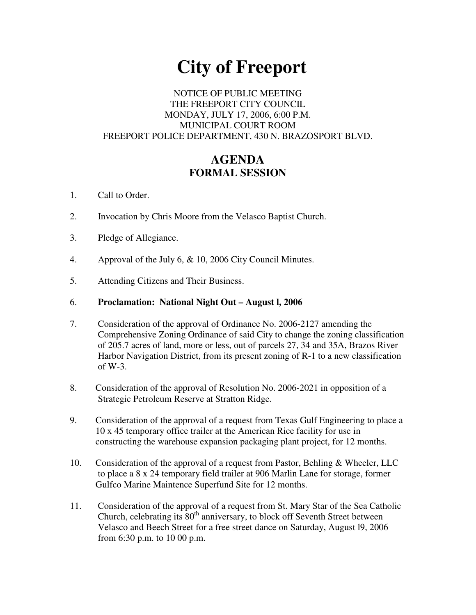# **City of Freeport**

# NOTICE OF PUBLIC MEETING THE FREEPORT CITY COUNCIL MONDAY, JULY 17, 2006, 6:00 P.M. MUNICIPAL COURT ROOM FREEPORT POLICE DEPARTMENT, 430 N. BRAZOSPORT BLVD.

# **AGENDA FORMAL SESSION**

- 1. Call to Order.
- 2. Invocation by Chris Moore from the Velasco Baptist Church.
- 3. Pledge of Allegiance.
- 4. Approval of the July 6, & 10, 2006 City Council Minutes.
- 5. Attending Citizens and Their Business.

### 6. **Proclamation: National Night Out – August l, 2006**

- 7. Consideration of the approval of Ordinance No. 2006-2127 amending the Comprehensive Zoning Ordinance of said City to change the zoning classification of 205.7 acres of land, more or less, out of parcels 27, 34 and 35A, Brazos River Harbor Navigation District, from its present zoning of R-1 to a new classification of W-3.
- 8. Consideration of the approval of Resolution No. 2006-2021 in opposition of a Strategic Petroleum Reserve at Stratton Ridge.
- 9. Consideration of the approval of a request from Texas Gulf Engineering to place a 10 x 45 temporary office trailer at the American Rice facility for use in constructing the warehouse expansion packaging plant project, for 12 months.
- 10. Consideration of the approval of a request from Pastor, Behling & Wheeler, LLC to place a 8 x 24 temporary field trailer at 906 Marlin Lane for storage, former Gulfco Marine Maintence Superfund Site for 12 months.
- 11. Consideration of the approval of a request from St. Mary Star of the Sea Catholic Church, celebrating its  $80<sup>th</sup>$  anniversary, to block off Seventh Street between Velasco and Beech Street for a free street dance on Saturday, August l9, 2006 from 6:30 p.m. to 10 00 p.m.